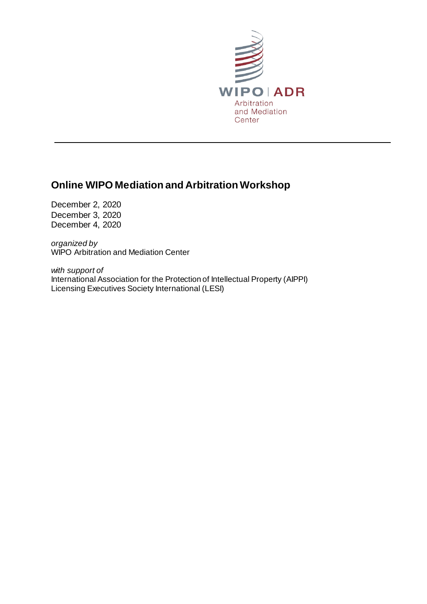

L

# **Online WIPO Mediation and Arbitration Workshop**

December 2, 2020 December 3, 2020 December 4, 2020

*organized by* WIPO Arbitration and Mediation Center

*with support of* International Association for the Protection of Intellectual Property (AIPPI) Licensing Executives Society International (LESI)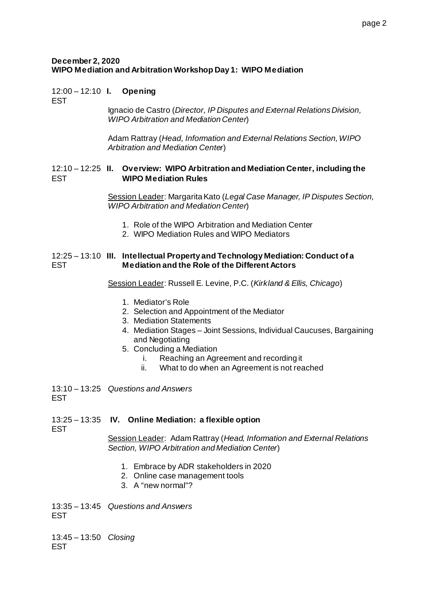### **December 2, 2020 WIPO Mediation and Arbitration Workshop Day 1: WIPO Mediation**

# 12:00 – 12:10 **I. Opening**

**FST** 

Ignacio de Castro (*Director, IP Disputes and External Relations Division, WIPO Arbitration and Mediation Center*)

Adam Rattray (*Head, Information and External Relations Section, WIPO Arbitration and Mediation Center*)

#### 12:10 – 12:25 **II. Overview: WIPO Arbitration and Mediation Center, including the**  EST **WIPO Mediation Rules**

Session Leader: Margarita Kato (*Legal Case Manager, IP Disputes Section, WIPO Arbitration and Mediation Center*)

- 1. Role of the WIPO Arbitration and Mediation Center
- 2. WIPO Mediation Rules and WIPO Mediators

#### 12:25 – 13:10 **III. Intellectual Property and Technology Mediation: Conduct of a**  EST **Mediation and the Role of the Different Actors**

Session Leader: Russell E. Levine, P.C. (*Kirkland & Ellis, Chicago*)

- 1. Mediator's Role
- 2. Selection and Appointment of the Mediator
- 3. Mediation Statements
- 4. Mediation Stages Joint Sessions, Individual Caucuses, Bargaining and Negotiating
- 5. Concluding a Mediation
	- i. Reaching an Agreement and recording it
	- ii. What to do when an Agreement is not reached

13:10 – 13:25 *Questions and Answers* EST

### 13:25 – 13:35 **IV. Online Mediation: a flexible option**

EST

Session Leader: Adam Rattray (*Head, Information and External Relations Section, WIPO Arbitration and Mediation Center*)

- 1. Embrace by ADR stakeholders in 2020
- 2. Online case management tools
- 3. A "new normal"?

13:35 – 13:45 *Questions and Answers* EST

13:45 – 13:50 *Closing*EST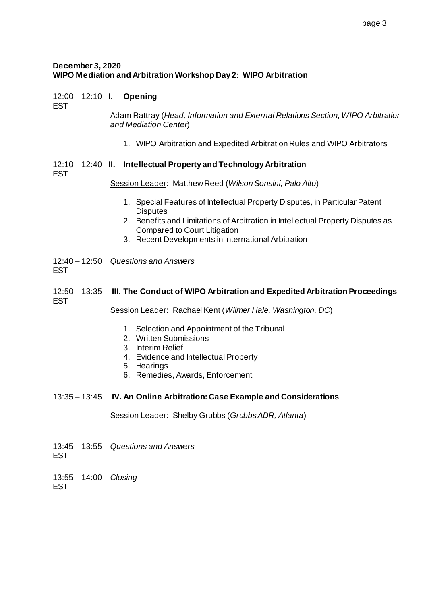### **December 3, 2020 WIPO Mediation and Arbitration Workshop Day 2: WIPO Arbitration**

# 12:00 – 12:10 **I. Opening**

EST

Adam Rattray (*Head, Information and External Relations Section, WIPO Arbitration and Mediation Center*)

1. WIPO Arbitration and Expedited Arbitration Rules and WIPO Arbitrators

#### 12:10 – 12:40 **II. Intellectual Property and Technology Arbitration** EST

Session Leader: Matthew Reed (*Wilson Sonsini, Palo Alto*)

- 1. Special Features of Intellectual Property Disputes, in Particular Patent **Disputes**
- 2. Benefits and Limitations of Arbitration in Intellectual Property Disputes as Compared to Court Litigation
- 3. Recent Developments in International Arbitration

12:40 – 12:50 *Questions and Answers* **FST** 

# 12:50 – 13:35 **III. The Conduct of WIPO Arbitration and Expedited Arbitration Proceedings** EST

Session Leader: Rachael Kent (*Wilmer Hale, Washington, DC*)

- 1. Selection and Appointment of the Tribunal
- 2. Written Submissions
- 3. Interim Relief
- 4. Evidence and Intellectual Property
- 5. Hearings
- 6. Remedies, Awards, Enforcement
- 13:35 13:45 **IV. An Online Arbitration: Case Example and Considerations**

### Session Leader: Shelby Grubbs (*Grubbs ADR, Atlanta*)

13:45 – 13:55 *Questions and Answers* EST

13:55 – 14:00 *Closing*EST